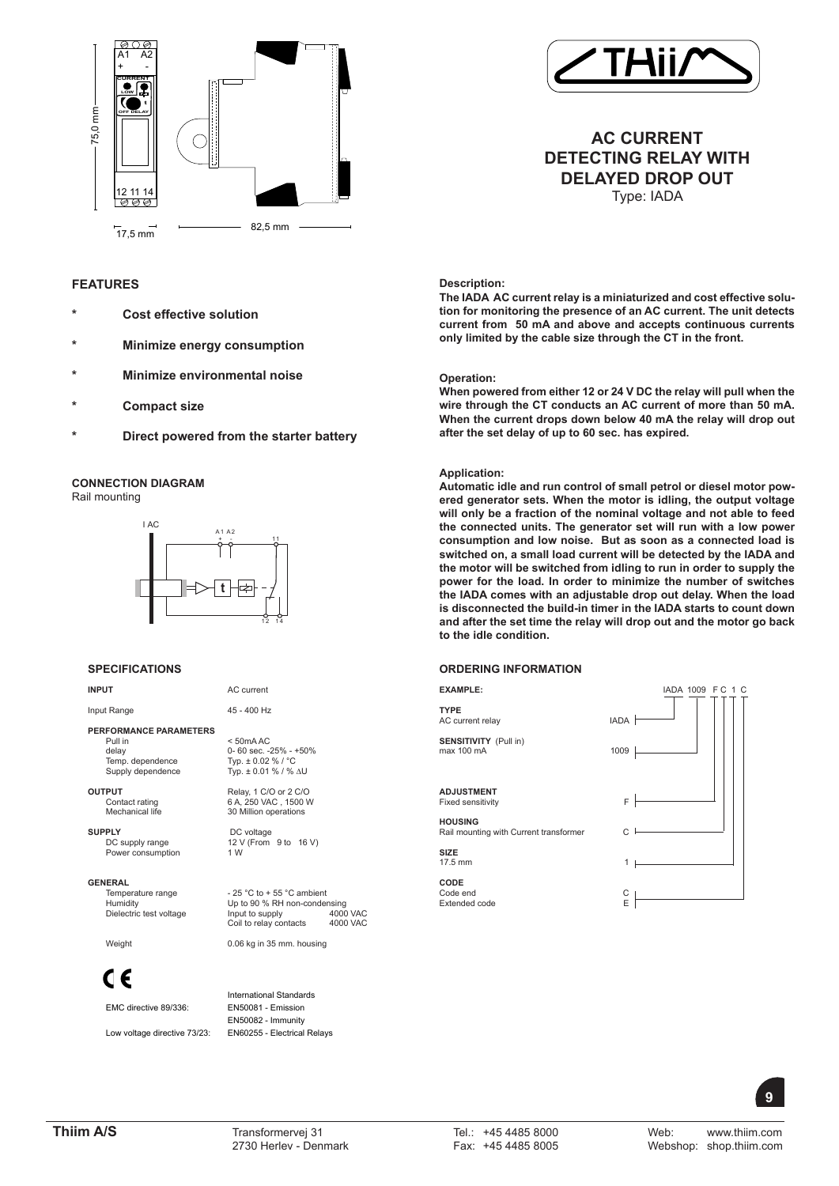



# **AC CURRENT DETECTING RELAY WITH DELAYED DROP OUT** Type: IADA

**Description:**

**The IADA AC current relay is a miniaturized and cost effective solution for monitoring the presence of an AC current. The unit detects current from 50 mA and above and accepts continuous currents only limited by the cable size through the CT in the front.** 

## **Operation:**

**When powered from either 12 or 24 V DC the relay will pull when the wire through the CT conducts an AC current of more than 50 mA. When the current drops down below 40 mA the relay will drop out after the set delay of up to 60 sec. has expired.**

## **Application:**

**Automatic idle and run control of small petrol or diesel motor powered generator sets. When the motor is idling, the output voltage will only be a fraction of the nominal voltage and not able to feed the connected units. The generator set will run with a low power consumption and low noise. But as soon as a connected load is switched on, a small load current will be detected by the IADA and the motor will be switched from idling to run in order to supply the power for the load. In order to minimize the number of switches the IADA comes with an adjustable drop out delay. When the load is disconnected the build-in timer in the IADA starts to count down and after the set time the relay will drop out and the motor go back to the idle condition.** 

## **ORDERING INFORMATION**



## **t** A1 A2 + 11 I AC -

**Cost effective solution** 

**\* Minimize energy consumption**

**Compact size** 

**Minimize environmental noise** 

**\* Direct powered from the starter battery**

## **SPECIFICATIONS**

**CONNECTION DIAGRAM**

Rail mounting

**INPUT** AC current

**FEATURES**

Input Range 45 - 400 Hz

**PERFORMANCE PARAMETERS**

Pull in < 50mA AC delay 0- 60 sec. -25% - +50%

**OUTPUT**<br>Contact rating **Relay, 1 C/O or 2 C/O**<br>6 A, 250 VAC, 1500 V

**SUPPLY** DC voltage<br>DC supply range 12 V (From Power consumption

GENERAL<br>Temperature range

C E

EMC directive 89/336:

Low voltage directive 73/23: EN60255 - Electrical Relays

12 14

Temp. dependence Typ. ± 0.02 % / °C Supply dependence Typ. ± 0.01 % / % ∆U

Contact rating 6 A, 250 VAC, 1500 W<br>
Mechanical life 30 Million operations 30 Million operations

 $12 \text{ V (From } 9 \text{ to } 16 \text{ V)}$ <br>1 W

Temperature range  $-25^\circ \text{C}$  to + 55 °C ambient<br>
Humidity Up to 90 % RH non-conder Up to 90 % RH non-condensing<br>Input to supply 4000 VAC Dielectric test voltage Input to supply 4000 VAC<br>Coil to relay contacts 4000 VAC Input to supply<br>Coil to relay contacts

Weight 0.06 kg in 35 mm. housing

International Standards<br>EN50081 - Emission EN50082 - Immunity

 **9**